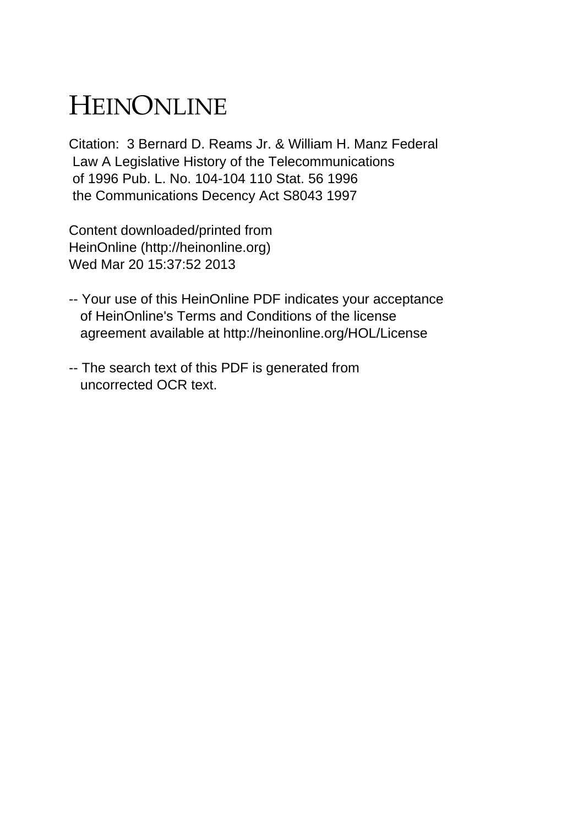# HEINONLINE

Citation: 3 Bernard D. Reams Jr. & William H. Manz Federal Law A Legislative History of the Telecommunications of 1996 Pub. L. No. 104-104 110 Stat. 56 1996 the Communications Decency Act S8043 1997

Content downloaded/printed from HeinOnline (http://heinonline.org) Wed Mar 20 15:37:52 2013

- -- Your use of this HeinOnline PDF indicates your acceptance of HeinOnline's Terms and Conditions of the license agreement available at http://heinonline.org/HOL/License
- -- The search text of this PDF is generated from uncorrected OCR text.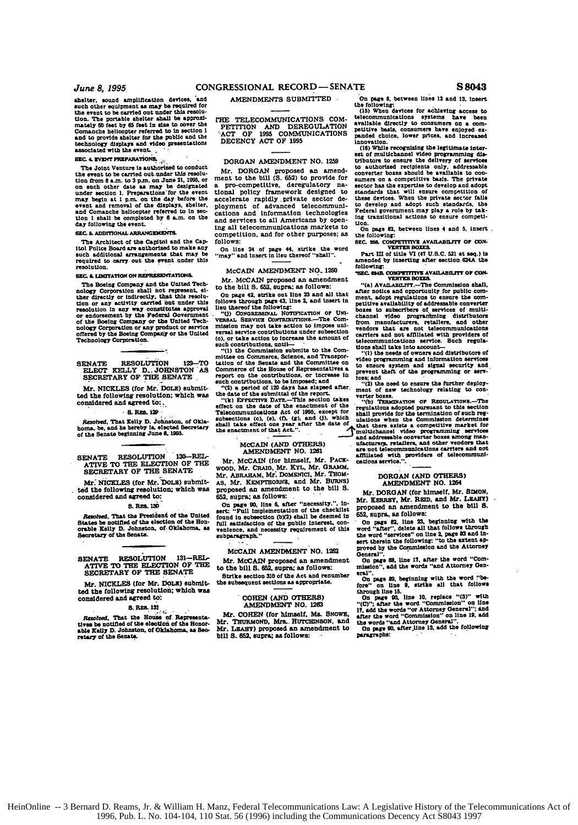June 8, 1995 COI absolute the community of the state and the event to be carried out burder this resolute for the event to be carried out under this resolution. The portable absolution of the state of the state of the sta and to provide shelter for the public **and** the technology **displays and** video Presentations associated with the event. **- '**

## SEC. . EVENT PSEPARAIIONS.

The Joint Venture is authorized to conduct<br>the event to be carried out-under this resolution<br>from 6 a.m. to 3 p.m. on June 21, 1993, or<br>on such other date as may be designated<br>under section 1. Preparations for the eventual

## **SEC, L ADDITIONAL ARRANCEMENTS.**

**The** Architect **of** the Capitol and the **Cap-**itol Police Board **are** authorized to make **any** such additional arrangements that **may** be required to carry out the event under this resolution.

## **SEC. & LIMITATION ON REPRESENTATIONS**

The Boeing Company and the United Technical<br>nology Corporation shall not represent, eleber directly or indirectly, that this resolution<br>tion or any activity carried out and a measurement of resolution in any way constitute Technology Corporation.

**SENATE RESOLUTION** 129-TO **ELECT** KELLY **D, JOHNSTON AS** SECRETARY **OF** THE **SENATE**

Mr. **NICKLES** (for Mr. DOLE) submitted the following resolution: which was considered **and** agreed to:.

# **S.** RZn. **1V**

Resolved. That Kelly **D.** Johnston. of Oklahoms. be, and he hereby is, elected Secretary<br>of the Senate beginning June 8, 1995.

**SENATE RESOLUTION** 130--REL-ATIVE TO THE **ELECTION** OF THE SECRETARY OF THE **SENATE**

**Mr.** NICKLES (for **Mr.'DOLE)** submit**ted** the following resolution; which **was** considered and **agreed** to:

# **S.** Ron. **1SO**

*RIesaled,* That the President of the United States be notified **of** the election **of** the **Hon-** orable **Kelly D.** Johnston. of-Oklahoma, **as** Secretary **of** the Senate.

**SENATE RESOLUTION 131-REL-**<br>ATIVE TO THE ELECTION OF THE **SECRETARY OF THE SENATE**

**Mr. NICKLES** (for Mr. **DOLE)** submitted the following resolution; which was considered **and** agreed **to:**

## **S.** REs. **1l**

Remoted. That the House of **Representatives** be notified of the slection of the Honor-<br>able Kelly D. Johnston. of Oklahoma. as Sec-<br>retary of the Senate.

# **DETERTION AND DEREGULATION available of ACT OF 1995 COMMUNICATIONS paided charges and the DECENCY ACT OF 1995**

Mr. DORGAN proposed an amendment to the bill (S. 652) to provide for a pro-competitive, deregulatory na-<br>tional policy framework designed to tional policy framework designed to standards that will ensure competition of accelerate rapidly private sector de-<br>cheese then advanced the content of a standards, the capacity of a<br>playment of advanced telecommuni- Federal given ment may play a role by tak-<br>cations and information technologies red program services to all Americans by open- ing remastional actions to ensure competi-<br>and services to all Americans by open- ing transitional actions to ensure competi-<br>ing all telecommunications markets to On page *82*, b competition, and for other purposes; as follows: **follows:** SEC. 208. COMPETITIVE AVAILABILITY OF CON

On line 24 of page 44, strike the word<br>"may" and insert in lieu thereof "shall". "may" and insert in lieu thereof "shall". **Part III** of title VI **(47 U.S.C. 121 et seq.) is** - amended **by** Inserting after section **62tA** the

# **McCAIN AMENDMENT NO. 1260**

Mr. McCAIN proposed an amendment **VERTER BOLES.**<br>to the bill S. 652, supra: as follows: "(a) AVAILABILITY.—The Commission shall,

Mr. **MCCAIN** (for hinself. Mr. **PACK-** catios service.". WOOD. Mr. CRAIO. Mr. KYL, Mr. GRAMM, **Martin Martin (AND OTHERS)**<br>Mr. ABRAHAM, Mr. DOMENICI, Mr. THOM- **DORGAN (AND OTHERS)**<br>AS, Mr. KEMPTHORNB, and Mr. BURNS) **AMENDMENT NO. 1264** Mr. ABRAHAM, Mr. DOMENICI, Mr. THOM-**DORGAN (AND OTHERS)**<br>
AS, Mr. KEMPTHORNE, and Mr. *BURNS*) **AMENDMENT NO. 1264**<br>
proposed an amendment to the bill S. Mr. DORGAN (for himself. Mr. *SIMON,*<br> **652.** surva: as follows:

On page 90, line 6, after "necessity.", in-<br>sert: "Full implementation of the checklist fropposed an amendment to the bill S.<br>found in subsection (b)(3) shall be desmed in 652, supra, as follows:<br>full satisfaction of the p venlence, and necessity requirement of this subparagraph."

Strike section 310 of the Act and renumber the subsequent sections as appropriate.

**Mr. TBURMOND, Mrs. HUTCINSON,** and the words "and Attorney General". **Mr. LEASY) proposed** an amendment to **On Page,** alfterllne **12. add** the following **bill S. 052.** supMa as follows: **- paragraphe:**

**AMENDMENTS** SUBMITTED **On** page **8.** between lines **12** and **13.** Insert the following. **-(15)** When **devices** for achieving access to

THE TELECOMMUNICATIONS COM-<br>PETITION AND DEREGULATION settline basis, consumers based exchange on<br>PETITION AND DEREGULATIONS painted boing, consumers bave enjoyed ex-<br>PACT OF 1995 COMMUNICATIONS panded choice, lower prices

ECCENCI ACI OF 1550<br>
(16) While recognizing the legitimats inter-<br>
est of multichannel video programming dis-<br>DORGAN AMENDMENT NO. 1259 tributors to ensure the delivery of services Mr. DORGAN proposed an amend- to suborised recipients only, addressable<br>Mr. DORGAN proposed an amend- converter boxes should be available to con-<br>ment to the bill (S. 652) to provide for sumers on a competitive basis. The

**EBC. 814B. COMPETITIVE AVAILABILITY OF CON-**

to the bill S. 652, supra; as follows: "(a) AVANABILITT.-The Commission shall. CON PART AND ABOUT THE COMMISSION SCALE THAT A and opportunity for public competitive availability of addressable converter On page 12, Strike out into 23 and an that ment, adopt regulations to ensure the com-<br>follows through page 43, line 2, and insert in petitive availability of addressable converter THE LIGENSION CONTRESSURE CONTRECTION OF UNI-<br>
"(i) CONGRESSIDML NOTIFICATION OF UNI-<br>
"CHEAL SERVICE CONTRIBUTIONS.—The Com-<br>
from manufacturers, retailers, and other<br>
mission may not take action to impose uni-<br>
remotes t **(c).** or take action to increase the amount of **carriers** and not affiliated with providers of  $\mathbf{c}_0$ , or take action to increase the amount of **the communications** service. Such regula-

**1)** the needeem in the late into account-<br>
1) the neede of owners and distributors of<br>
1(1) the neede of owners and distributors of<br>
1(1) the neede of owners and Information services<br>
10 centers and Transport in the Comme inities of counterca, between an aristotropy wideo programming and information services<br>tation of the Senate and the Committee on to ensure system and signal security and<br>committee of the House of Representatives a prevent

such contributions, to be imposed; and<br>"(2) a period of 120 days has elapsed after.<br>the date of the submittal of the report.<br>the date of the submittal of the report. **"1(k)** Ens'ccm DAr5.-This section takes **'(b)** TKUIA770M **OF** RSOULATONs.-The

The EST and State of the enactment of the regulations adopted pursuant to this section<br>of the calculations and the regulations adopted pursuant to this section<br>communications Act of 1995, sceept for behall provide for the MCCAIN (AND OTHERS)<br>MCCAIN (AND OTHERS) and addressable converter boxes among man-<br>MENDMENT NO. 1261 are not bisecommunications carriers and other and not<br>affliated with providers of telecommuni-

**652. supra; as follows:** *.* **Mr.** DOROAN **(r.** himself **Mr.** EnSON. On **page** *90,* line **6.** after "necessity.", - **Mr.** KsluY. **Mr.** REiD. and Mr. LEAT)

ventence, and necessary requirement of this word "services" on line 2, page 83 and in-<br>act therein the following: "to the extent ap-<br>sert therein the following: "to the extent ap-**MCCAIN** AMENDMENT' **NO. 1282** proved **by** the Commission **and** the Attorney General'.

Mr. MCCAIN proposed an amendment On page 88, line 17, after the word "Com-<br>to the bill S. 652, supra; as follows: mission", add the words "and Attorney Gen-

Starts sections as appropriate. The page 89, beginning with the word "be-<br>the subsequent sections as appropriate.<br>COHEN (AND OTHERS) through line is a term of a line of the subsequent sections as appropriate.<br>COHEN (AND OT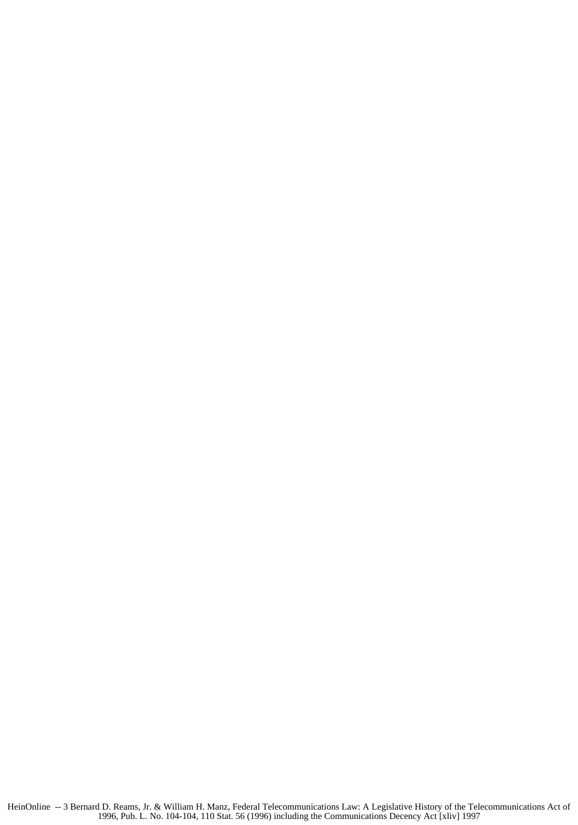HeinOnline -- 3 Bernard D. Reams, Jr. & William H. Manz, Federal Telecommunications Law: A Legislative History of the Telecommunications Act of 1996, Pub. L. No. 104-104, 110 Stat. 56 (1996) including the Communications Decency Act [xliv] 1997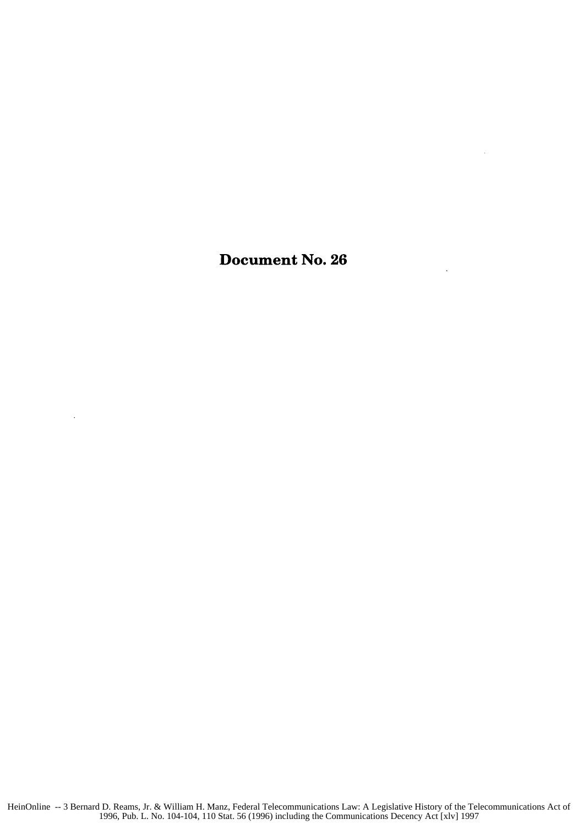Document No. **26**

 $\bar{\mathcal{A}}$ 

 $\lambda$